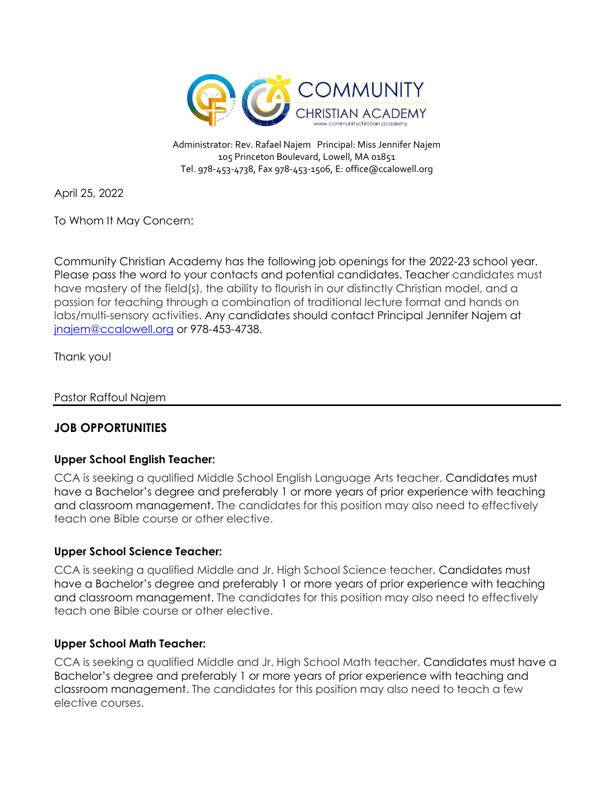

Administrator: Rev. Rafael Najem Principal: Miss Jennifer Najem 105 Princeton Boulevard, Lowell, MA 01851 Tel. 978-453-4738, Fax 978-453-1506, E[: office@ccalowell.org](mailto:office@ccalowell.org)

April 25, 2022

To Whom It May Concern:

Community Christian Academy has the following job openings for the 2022-23 school year. Please pass the word to your contacts and potential candidates. Teacher candidates must have mastery of the field(s), the ability to flourish in our distinctly Christian model, and a passion for teaching through a combination of traditional lecture format and hands on labs/multi-sensory activities. Any candidates should contact Principal Jennifer Najem at [jnajem@ccalowell.org](mailto:jnajem@ccalowell.org) or 978-453-4738.

Thank you!

Pastor Raffoul Najem

# **JOB OPPORTUNITIES**

## **Upper School English Teacher:**

CCA is seeking a qualified Middle School English Language Arts teacher. Candidates must have a Bachelor's degree and preferably 1 or more years of prior experience with teaching and classroom management. The candidates for this position may also need to effectively teach one Bible course or other elective.

## **Upper School Science Teacher:**

CCA is seeking a qualified Middle and Jr. High School Science teacher. Candidates must have a Bachelor's degree and preferably 1 or more years of prior experience with teaching and classroom management. The candidates for this position may also need to effectively teach one Bible course or other elective.

## **Upper School Math Teacher:**

CCA is seeking a qualified Middle and Jr. High School Math teacher. Candidates must have a Bachelor's degree and preferably 1 or more years of prior experience with teaching and classroom management. The candidates for this position may also need to teach a few elective courses.